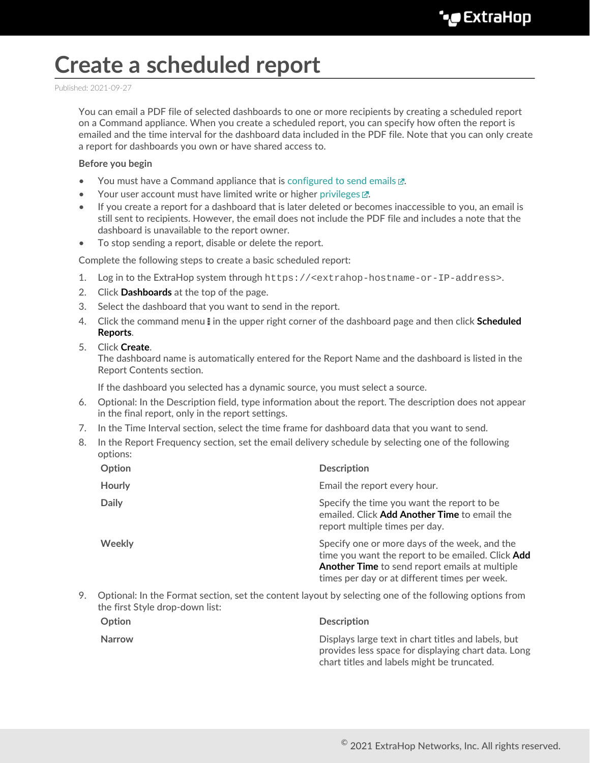## **Create a scheduled report**

Published: 2021-09-27

You can email a PDF file of selected dashboards to one or more recipients by creating a scheduled report on a Command appliance. When you create a scheduled report, you can specify how often the report is emailed and the time interval for the dashboard data included in the PDF file. Note that you can only create a report for dashboards you own or have shared access to.

## **Before you begin**

- You must have a Command appliance that is configured to send emails  $\mathbb{Z}$ .
- Your user account must have limited write or higher [privileges](https://docs.extrahop.com/8.4/users-overview/#user-privileges)  $\mathbb{Z}$ .
- If you create a report for a dashboard that is later deleted or becomes inaccessible to you, an email is still sent to recipients. However, the email does not include the PDF file and includes a note that the dashboard is unavailable to the report owner.
- To stop sending a report, disable or delete the report.

Complete the following steps to create a basic scheduled report:

- 1. Log in to the ExtraHop system through https://<extrahop-hostname-or-IP-address>.
- 2. Click **Dashboards** at the top of the page.
- 3. Select the dashboard that you want to send in the report.
- 4. Click the command menu **i** in the upper right corner of the dashboard page and then click **Scheduled Reports**.
- 5. Click **Create**.

The dashboard name is automatically entered for the Report Name and the dashboard is listed in the Report Contents section.

If the dashboard you selected has a dynamic source, you must select a source.

- 6. Optional: In the Description field, type information about the report. The description does not appear in the final report, only in the report settings.
- 7. In the Time Interval section, select the time frame for dashboard data that you want to send.
- 8. In the Report Frequency section, set the email delivery schedule by selecting one of the following options:

| Option        | <b>Description</b>                                                                                                                                                                                    |
|---------------|-------------------------------------------------------------------------------------------------------------------------------------------------------------------------------------------------------|
| <b>Hourly</b> | Email the report every hour.                                                                                                                                                                          |
| <b>Daily</b>  | Specify the time you want the report to be.<br>emailed. Click Add Another Time to email the<br>report multiple times per day.                                                                         |
| Weekly        | Specify one or more days of the week, and the<br>time you want the report to be emailed. Click Add<br>Another Time to send report emails at multiple<br>times per day or at different times per week. |

9. Optional: In the Format section, set the content layout by selecting one of the following options from the first Style drop-down list:

| Option | <b>Description</b>                                                                                                                                        |
|--------|-----------------------------------------------------------------------------------------------------------------------------------------------------------|
| Narrow | Displays large text in chart titles and labels, but<br>provides less space for displaying chart data. Long<br>chart titles and labels might be truncated. |